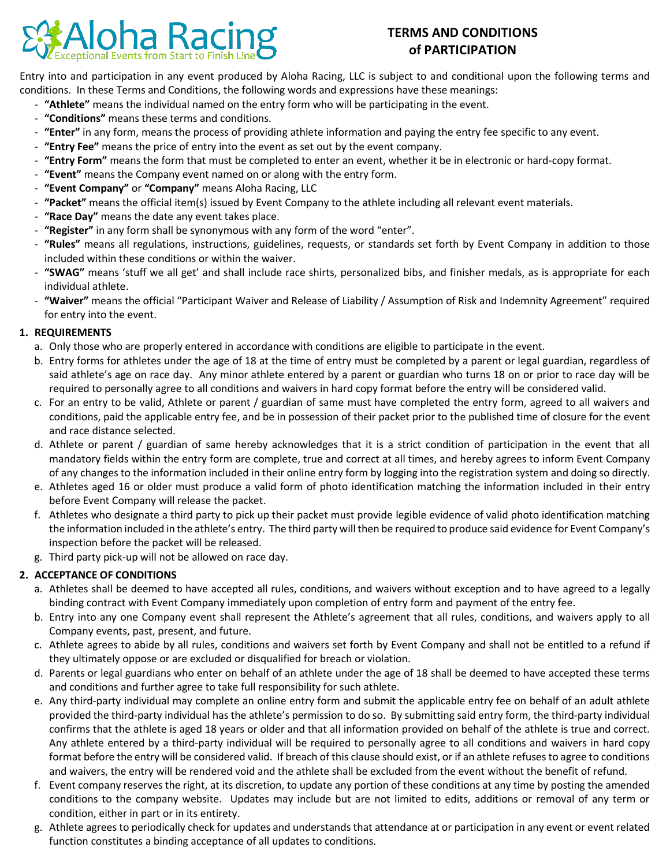

# **TERMS AND CONDITIONS of PARTICIPATION**

Entry into and participation in any event produced by Aloha Racing, LLC is subject to and conditional upon the following terms and conditions. In these Terms and Conditions, the following words and expressions have these meanings:

- **"Athlete"** means the individual named on the entry form who will be participating in the event.
- **"Conditions"** means these terms and conditions.
- **"Enter"** in any form, means the process of providing athlete information and paying the entry fee specific to any event.
- **"Entry Fee"** means the price of entry into the event as set out by the event company.
- **"Entry Form"** means the form that must be completed to enter an event, whether it be in electronic or hard-copy format.
- **"Event"** means the Company event named on or along with the entry form.
- **"Event Company"** or **"Company"** means Aloha Racing, LLC
- **"Packet"** means the official item(s) issued by Event Company to the athlete including all relevant event materials.
- **"Race Day"** means the date any event takes place.
- **"Register"** in any form shall be synonymous with any form of the word "enter".
- **"Rules"** means all regulations, instructions, guidelines, requests, or standards set forth by Event Company in addition to those included within these conditions or within the waiver.
- **"SWAG"** means 'stuff we all get' and shall include race shirts, personalized bibs, and finisher medals, as is appropriate for each individual athlete.
- **"Waiver"** means the official "Participant Waiver and Release of Liability / Assumption of Risk and Indemnity Agreement" required for entry into the event.

### **1. REQUIREMENTS**

- a. Only those who are properly entered in accordance with conditions are eligible to participate in the event.
- b. Entry forms for athletes under the age of 18 at the time of entry must be completed by a parent or legal guardian, regardless of said athlete's age on race day. Any minor athlete entered by a parent or guardian who turns 18 on or prior to race day will be required to personally agree to all conditions and waivers in hard copy format before the entry will be considered valid.
- c. For an entry to be valid, Athlete or parent / guardian of same must have completed the entry form, agreed to all waivers and conditions, paid the applicable entry fee, and be in possession of their packet prior to the published time of closure for the event and race distance selected.
- d. Athlete or parent / guardian of same hereby acknowledges that it is a strict condition of participation in the event that all mandatory fields within the entry form are complete, true and correct at all times, and hereby agrees to inform Event Company of any changes to the information included in their online entry form by logging into the registration system and doing so directly.
- e. Athletes aged 16 or older must produce a valid form of photo identification matching the information included in their entry before Event Company will release the packet.
- f. Athletes who designate a third party to pick up their packet must provide legible evidence of valid photo identification matching the information included in the athlete's entry. The third party will then be required to produce said evidence for Event Company's inspection before the packet will be released.
- g. Third party pick-up will not be allowed on race day.

### **2. ACCEPTANCE OF CONDITIONS**

- a. Athletes shall be deemed to have accepted all rules, conditions, and waivers without exception and to have agreed to a legally binding contract with Event Company immediately upon completion of entry form and payment of the entry fee.
- b. Entry into any one Company event shall represent the Athlete's agreement that all rules, conditions, and waivers apply to all Company events, past, present, and future.
- c. Athlete agrees to abide by all rules, conditions and waivers set forth by Event Company and shall not be entitled to a refund if they ultimately oppose or are excluded or disqualified for breach or violation.
- d. Parents or legal guardians who enter on behalf of an athlete under the age of 18 shall be deemed to have accepted these terms and conditions and further agree to take full responsibility for such athlete.
- e. Any third-party individual may complete an online entry form and submit the applicable entry fee on behalf of an adult athlete provided the third-party individual has the athlete's permission to do so. By submitting said entry form, the third-party individual confirms that the athlete is aged 18 years or older and that all information provided on behalf of the athlete is true and correct. Any athlete entered by a third-party individual will be required to personally agree to all conditions and waivers in hard copy format before the entry will be considered valid. If breach of this clause should exist, or if an athlete refuses to agree to conditions and waivers, the entry will be rendered void and the athlete shall be excluded from the event without the benefit of refund.
- f. Event company reserves the right, at its discretion, to update any portion of these conditions at any time by posting the amended conditions to the company website. Updates may include but are not limited to edits, additions or removal of any term or condition, either in part or in its entirety.
- g. Athlete agrees to periodically check for updates and understands that attendance at or participation in any event or event related function constitutes a binding acceptance of all updates to conditions.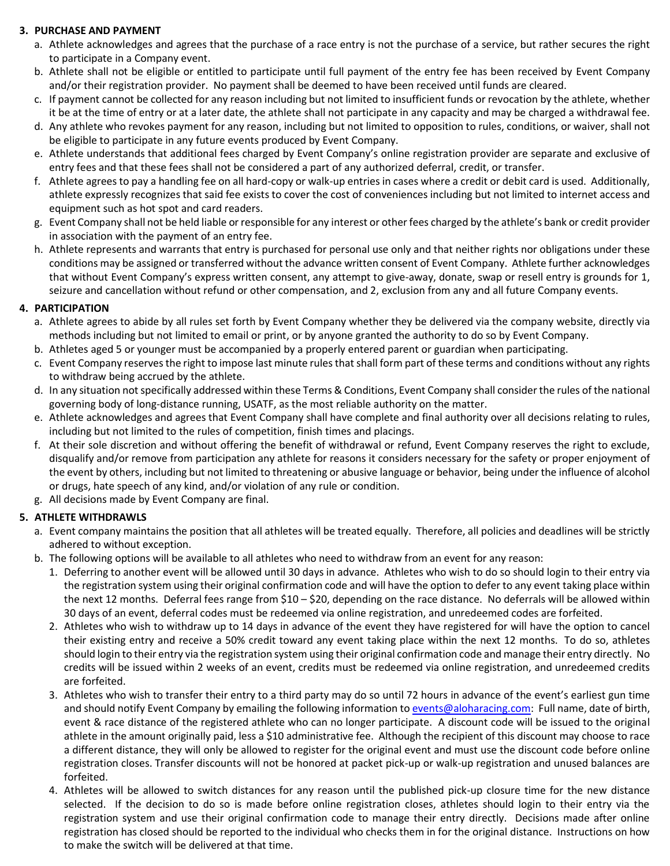### **3. PURCHASE AND PAYMENT**

- a. Athlete acknowledges and agrees that the purchase of a race entry is not the purchase of a service, but rather secures the right to participate in a Company event.
- b. Athlete shall not be eligible or entitled to participate until full payment of the entry fee has been received by Event Company and/or their registration provider. No payment shall be deemed to have been received until funds are cleared.
- c. If payment cannot be collected for any reason including but not limited to insufficient funds or revocation by the athlete, whether it be at the time of entry or at a later date, the athlete shall not participate in any capacity and may be charged a withdrawal fee.
- d. Any athlete who revokes payment for any reason, including but not limited to opposition to rules, conditions, or waiver, shall not be eligible to participate in any future events produced by Event Company.
- e. Athlete understands that additional fees charged by Event Company's online registration provider are separate and exclusive of entry fees and that these fees shall not be considered a part of any authorized deferral, credit, or transfer.
- f. Athlete agrees to pay a handling fee on all hard-copy or walk-up entries in cases where a credit or debit card is used. Additionally, athlete expressly recognizes that said fee exists to cover the cost of conveniences including but not limited to internet access and equipment such as hot spot and card readers.
- g. Event Company shall not be held liable or responsible for any interest or other fees charged by the athlete's bank or credit provider in association with the payment of an entry fee.
- h. Athlete represents and warrants that entry is purchased for personal use only and that neither rights nor obligations under these conditions may be assigned or transferred without the advance written consent of Event Company. Athlete further acknowledges that without Event Company's express written consent, any attempt to give-away, donate, swap or resell entry is grounds for 1, seizure and cancellation without refund or other compensation, and 2, exclusion from any and all future Company events.

### **4. PARTICIPATION**

- a. Athlete agrees to abide by all rules set forth by Event Company whether they be delivered via the company website, directly via methods including but not limited to email or print, or by anyone granted the authority to do so by Event Company.
- b. Athletes aged 5 or younger must be accompanied by a properly entered parent or guardian when participating.
- c. Event Company reserves the right to impose last minute rules that shall form part of these terms and conditions without any rights to withdraw being accrued by the athlete.
- d. In any situation not specifically addressed within these Terms & Conditions, Event Company shall consider the rules of the national governing body of long-distance running, USATF, as the most reliable authority on the matter.
- e. Athlete acknowledges and agrees that Event Company shall have complete and final authority over all decisions relating to rules, including but not limited to the rules of competition, finish times and placings.
- f. At their sole discretion and without offering the benefit of withdrawal or refund, Event Company reserves the right to exclude, disqualify and/or remove from participation any athlete for reasons it considers necessary for the safety or proper enjoyment of the event by others, including but not limited to threatening or abusive language or behavior, being under the influence of alcohol or drugs, hate speech of any kind, and/or violation of any rule or condition.
- g. All decisions made by Event Company are final.

## **5. ATHLETE WITHDRAWLS**

- a. Event company maintains the position that all athletes will be treated equally. Therefore, all policies and deadlines will be strictly adhered to without exception.
- b. The following options will be available to all athletes who need to withdraw from an event for any reason:
	- 1. Deferring to another event will be allowed until 30 days in advance. Athletes who wish to do so should login to their entry via the registration system using their original confirmation code and will have the option to defer to any event taking place within the next 12 months. Deferral fees range from \$10 – \$20, depending on the race distance. No deferrals will be allowed within 30 days of an event, deferral codes must be redeemed via online registration, and unredeemed codes are forfeited.
	- 2. Athletes who wish to withdraw up to 14 days in advance of the event they have registered for will have the option to cancel their existing entry and receive a 50% credit toward any event taking place within the next 12 months. To do so, athletes should login to their entry via the registration system using their original confirmation code and manage their entry directly. No credits will be issued within 2 weeks of an event, credits must be redeemed via online registration, and unredeemed credits are forfeited.
	- 3. Athletes who wish to transfer their entry to a third party may do so until 72 hours in advance of the event's earliest gun time and should notify Event Company by emailing the following information to [events@aloharacing.com:](mailto:events@aloharacing.com) Full name, date of birth, event & race distance of the registered athlete who can no longer participate. A discount code will be issued to the original athlete in the amount originally paid, less a \$10 administrative fee. Although the recipient of this discount may choose to race a different distance, they will only be allowed to register for the original event and must use the discount code before online registration closes. Transfer discounts will not be honored at packet pick-up or walk-up registration and unused balances are forfeited.
	- 4. Athletes will be allowed to switch distances for any reason until the published pick-up closure time for the new distance selected. If the decision to do so is made before online registration closes, athletes should login to their entry via the registration system and use their original confirmation code to manage their entry directly. Decisions made after online registration has closed should be reported to the individual who checks them in for the original distance. Instructions on how to make the switch will be delivered at that time.